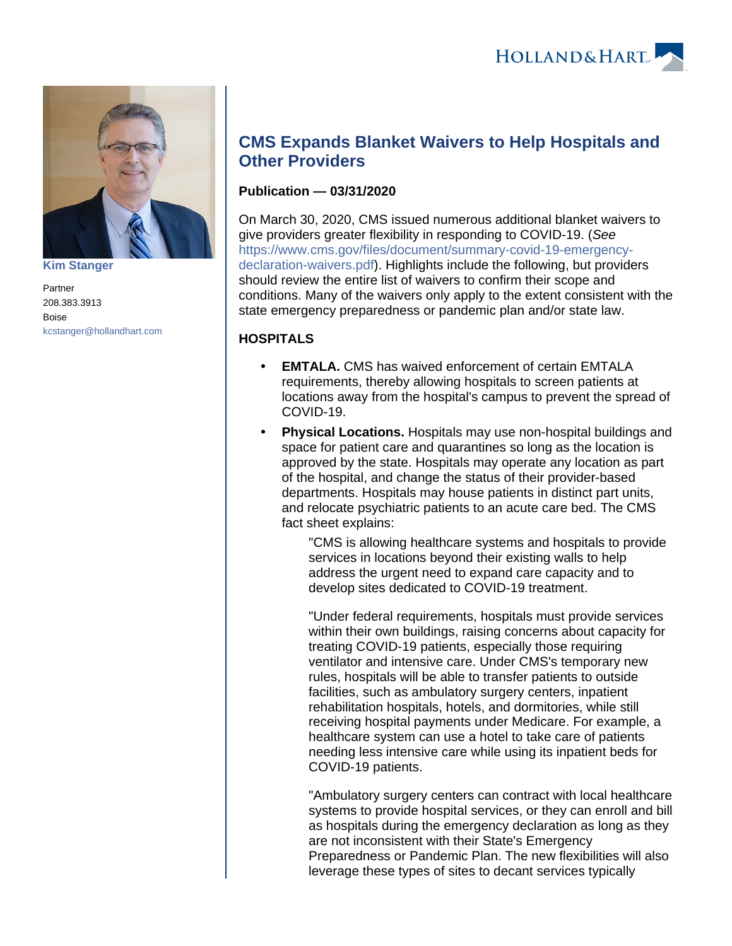

**[Kim Stanger](https://www.hollandhart.com/15954)**

Partner 208.383.3913 Boise [kcstanger@hollandhart.com](mailto:kcstanger@hollandhart.com)

# **CMS Expands Blanket Waivers to Help Hospitals and Other Providers**

### **Publication — 03/31/2020**

On March 30, 2020, CMS issued numerous additional blanket waivers to give providers greater flexibility in responding to COVID-19. (See [https://www.cms.gov/files/document/summary-covid-19-emergency](https://www.cms.gov/files/document/summary-covid-19-emergency-declaration-waivers.pdf)[declaration-waivers.pdf\)](https://www.cms.gov/files/document/summary-covid-19-emergency-declaration-waivers.pdf). Highlights include the following, but providers should review the entire list of waivers to confirm their scope and conditions. Many of the waivers only apply to the extent consistent with the state emergency preparedness or pandemic plan and/or state law.

## **HOSPITALS**

- **EMTALA.** CMS has waived enforcement of certain EMTALA requirements, thereby allowing hospitals to screen patients at locations away from the hospital's campus to prevent the spread of COVID-19.
- **Physical Locations.** Hospitals may use non-hospital buildings and space for patient care and quarantines so long as the location is approved by the state. Hospitals may operate any location as part of the hospital, and change the status of their provider-based departments. Hospitals may house patients in distinct part units, and relocate psychiatric patients to an acute care bed. The CMS fact sheet explains:

"CMS is allowing healthcare systems and hospitals to provide services in locations beyond their existing walls to help address the urgent need to expand care capacity and to develop sites dedicated to COVID-19 treatment.

"Under federal requirements, hospitals must provide services within their own buildings, raising concerns about capacity for treating COVID-19 patients, especially those requiring ventilator and intensive care. Under CMS's temporary new rules, hospitals will be able to transfer patients to outside facilities, such as ambulatory surgery centers, inpatient rehabilitation hospitals, hotels, and dormitories, while still receiving hospital payments under Medicare. For example, a healthcare system can use a hotel to take care of patients needing less intensive care while using its inpatient beds for COVID-19 patients.

"Ambulatory surgery centers can contract with local healthcare systems to provide hospital services, or they can enroll and bill as hospitals during the emergency declaration as long as they are not inconsistent with their State's Emergency Preparedness or Pandemic Plan. The new flexibilities will also leverage these types of sites to decant services typically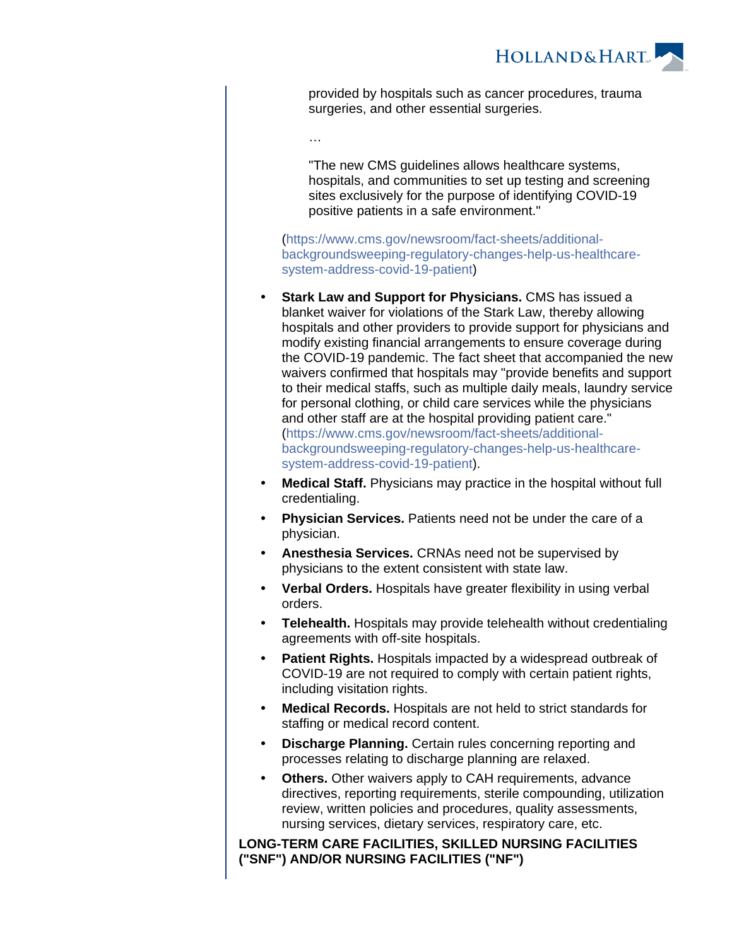

provided by hospitals such as cancer procedures, trauma surgeries, and other essential surgeries.

…

"The new CMS guidelines allows healthcare systems, hospitals, and communities to set up testing and screening sites exclusively for the purpose of identifying COVID-19 positive patients in a safe environment."

[\(https://www.cms.gov/newsroom/fact-sheets/additional](https://www.cms.gov/newsroom/fact-sheets/additional-backgroundsweeping-regulatory-changes-help-us-healthcare-system-address-covid-19-patient)[backgroundsweeping-regulatory-changes-help-us-healthcare](https://www.cms.gov/newsroom/fact-sheets/additional-backgroundsweeping-regulatory-changes-help-us-healthcare-system-address-covid-19-patient)[system-address-covid-19-patient](https://www.cms.gov/newsroom/fact-sheets/additional-backgroundsweeping-regulatory-changes-help-us-healthcare-system-address-covid-19-patient))

- **Stark Law and Support for Physicians.** CMS has issued a blanket waiver for violations of the Stark Law, thereby allowing hospitals and other providers to provide support for physicians and modify existing financial arrangements to ensure coverage during the COVID-19 pandemic. The fact sheet that accompanied the new waivers confirmed that hospitals may "provide benefits and support to their medical staffs, such as multiple daily meals, laundry service for personal clothing, or child care services while the physicians and other staff are at the hospital providing patient care." [\(https://www.cms.gov/newsroom/fact-sheets/additional](https://www.cms.gov/newsroom/fact-sheets/additional-backgroundsweeping-regulatory-changes-help-us-healthcare-system-address-covid-19-patient)[backgroundsweeping-regulatory-changes-help-us-healthcare](https://www.cms.gov/newsroom/fact-sheets/additional-backgroundsweeping-regulatory-changes-help-us-healthcare-system-address-covid-19-patient)[system-address-covid-19-patient](https://www.cms.gov/newsroom/fact-sheets/additional-backgroundsweeping-regulatory-changes-help-us-healthcare-system-address-covid-19-patient)).
- **Medical Staff.** Physicians may practice in the hospital without full credentialing.
- **Physician Services.** Patients need not be under the care of a physician.
- **Anesthesia Services.** CRNAs need not be supervised by physicians to the extent consistent with state law.
- **Verbal Orders.** Hospitals have greater flexibility in using verbal orders.
- **Telehealth.** Hospitals may provide telehealth without credentialing agreements with off-site hospitals.
- **Patient Rights.** Hospitals impacted by a widespread outbreak of COVID-19 are not required to comply with certain patient rights, including visitation rights.
- **Medical Records.** Hospitals are not held to strict standards for staffing or medical record content.
- **Discharge Planning.** Certain rules concerning reporting and processes relating to discharge planning are relaxed.
- **Others.** Other waivers apply to CAH requirements, advance directives, reporting requirements, sterile compounding, utilization review, written policies and procedures, quality assessments, nursing services, dietary services, respiratory care, etc.

**LONG-TERM CARE FACILITIES, SKILLED NURSING FACILITIES ("SNF") AND/OR NURSING FACILITIES ("NF")**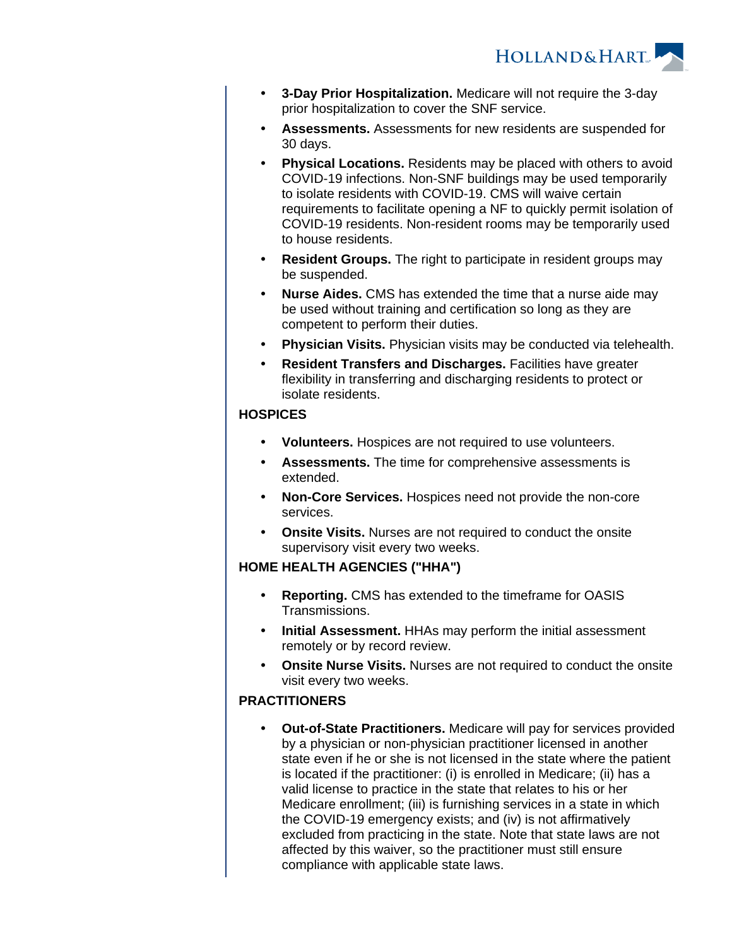

- **3-Day Prior Hospitalization.** Medicare will not require the 3-day prior hospitalization to cover the SNF service.
- **Assessments.** Assessments for new residents are suspended for 30 days.
- **Physical Locations.** Residents may be placed with others to avoid COVID-19 infections. Non-SNF buildings may be used temporarily to isolate residents with COVID-19. CMS will waive certain requirements to facilitate opening a NF to quickly permit isolation of COVID-19 residents. Non-resident rooms may be temporarily used to house residents.
- **Resident Groups.** The right to participate in resident groups may be suspended.
- **Nurse Aides.** CMS has extended the time that a nurse aide may be used without training and certification so long as they are competent to perform their duties.
- **Physician Visits.** Physician visits may be conducted via telehealth.
- **Resident Transfers and Discharges.** Facilities have greater flexibility in transferring and discharging residents to protect or isolate residents.

#### **HOSPICES**

- **Volunteers.** Hospices are not required to use volunteers.
- **Assessments.** The time for comprehensive assessments is extended.
- **Non-Core Services.** Hospices need not provide the non-core services.
- **Onsite Visits.** Nurses are not required to conduct the onsite supervisory visit every two weeks.

#### **HOME HEALTH AGENCIES ("HHA")**

- **Reporting.** CMS has extended to the timeframe for OASIS Transmissions.
- **Initial Assessment.** HHAs may perform the initial assessment remotely or by record review.
- **Onsite Nurse Visits.** Nurses are not required to conduct the onsite visit every two weeks.

#### **PRACTITIONERS**

 **Out-of-State Practitioners.** Medicare will pay for services provided by a physician or non-physician practitioner licensed in another state even if he or she is not licensed in the state where the patient is located if the practitioner: (i) is enrolled in Medicare; (ii) has a valid license to practice in the state that relates to his or her Medicare enrollment; (iii) is furnishing services in a state in which the COVID-19 emergency exists; and (iv) is not affirmatively excluded from practicing in the state. Note that state laws are not affected by this waiver, so the practitioner must still ensure compliance with applicable state laws.